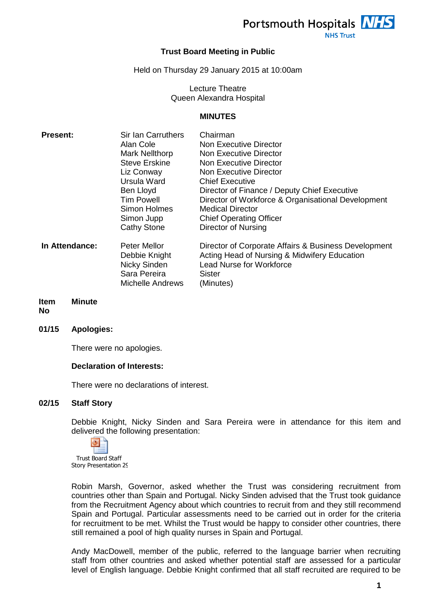

# **Trust Board Meeting in Public**

Held on Thursday 29 January 2015 at 10:00am

Lecture Theatre Queen Alexandra Hospital

#### **MINUTES**

| <b>Present:</b> | <b>Sir Ian Carruthers</b>                                                                       | Chairman                                                                                                                                                       |
|-----------------|-------------------------------------------------------------------------------------------------|----------------------------------------------------------------------------------------------------------------------------------------------------------------|
|                 | Alan Cole                                                                                       | Non Executive Director                                                                                                                                         |
|                 | Mark Nellthorp                                                                                  | Non Executive Director                                                                                                                                         |
|                 | <b>Steve Erskine</b>                                                                            | Non Executive Director                                                                                                                                         |
|                 | Liz Conway                                                                                      | Non Executive Director                                                                                                                                         |
|                 | Ursula Ward                                                                                     | <b>Chief Executive</b>                                                                                                                                         |
|                 | Ben Lloyd                                                                                       | Director of Finance / Deputy Chief Executive                                                                                                                   |
|                 | <b>Tim Powell</b>                                                                               | Director of Workforce & Organisational Development                                                                                                             |
|                 | Simon Holmes                                                                                    | Medical Director                                                                                                                                               |
|                 | Simon Jupp                                                                                      | <b>Chief Operating Officer</b>                                                                                                                                 |
|                 | <b>Cathy Stone</b>                                                                              | Director of Nursing                                                                                                                                            |
| In Attendance:  | <b>Peter Mellor</b><br>Debbie Knight<br>Nicky Sinden<br>Sara Pereira<br><b>Michelle Andrews</b> | Director of Corporate Affairs & Business Development<br>Acting Head of Nursing & Midwifery Education<br><b>Lead Nurse for Workforce</b><br>Sister<br>(Minutes) |
|                 |                                                                                                 |                                                                                                                                                                |

#### **Item Minute**

**No**

**01/15 Apologies:**

There were no apologies.

### **Declaration of Interests:**

There were no declarations of interest.

### **02/15 Staff Story**

Debbie Knight, Nicky Sinden and Sara Pereira were in attendance for this item and delivered the following presentation:



Trust Board Staff Story Presentation 29

Robin Marsh, Governor, asked whether the Trust was considering recruitment from countries other than Spain and Portugal. Nicky Sinden advised that the Trust took guidance from the Recruitment Agency about which countries to recruit from and they still recommend Spain and Portugal. Particular assessments need to be carried out in order for the criteria for recruitment to be met. Whilst the Trust would be happy to consider other countries, there still remained a pool of high quality nurses in Spain and Portugal.

Andy MacDowell, member of the public, referred to the language barrier when recruiting staff from other countries and asked whether potential staff are assessed for a particular level of English language. Debbie Knight confirmed that all staff recruited are required to be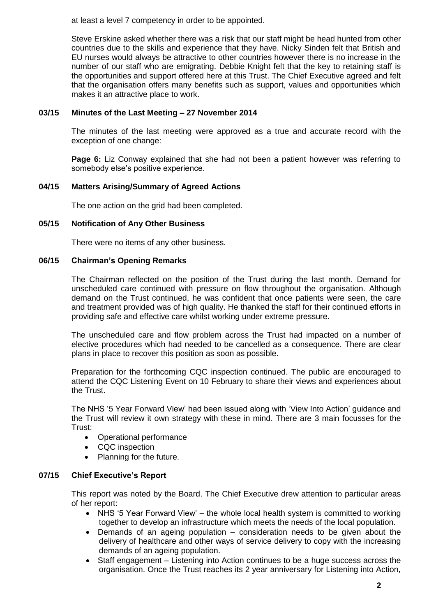at least a level 7 competency in order to be appointed.

Steve Erskine asked whether there was a risk that our staff might be head hunted from other countries due to the skills and experience that they have. Nicky Sinden felt that British and EU nurses would always be attractive to other countries however there is no increase in the number of our staff who are emigrating. Debbie Knight felt that the key to retaining staff is the opportunities and support offered here at this Trust. The Chief Executive agreed and felt that the organisation offers many benefits such as support, values and opportunities which makes it an attractive place to work.

### **03/15 Minutes of the Last Meeting – 27 November 2014**

The minutes of the last meeting were approved as a true and accurate record with the exception of one change:

**Page 6:** Liz Conway explained that she had not been a patient however was referring to somebody else's positive experience.

### **04/15 Matters Arising/Summary of Agreed Actions**

The one action on the grid had been completed.

### **05/15 Notification of Any Other Business**

There were no items of any other business.

### **06/15 Chairman's Opening Remarks**

The Chairman reflected on the position of the Trust during the last month. Demand for unscheduled care continued with pressure on flow throughout the organisation. Although demand on the Trust continued, he was confident that once patients were seen, the care and treatment provided was of high quality. He thanked the staff for their continued efforts in providing safe and effective care whilst working under extreme pressure.

The unscheduled care and flow problem across the Trust had impacted on a number of elective procedures which had needed to be cancelled as a consequence. There are clear plans in place to recover this position as soon as possible.

Preparation for the forthcoming CQC inspection continued. The public are encouraged to attend the CQC Listening Event on 10 February to share their views and experiences about the Trust.

The NHS '5 Year Forward View' had been issued along with 'View Into Action' guidance and the Trust will review it own strategy with these in mind. There are 3 main focusses for the Trust:

- Operational performance
- CQC inspection
- Planning for the future.

### **07/15 Chief Executive's Report**

This report was noted by the Board. The Chief Executive drew attention to particular areas of her report:

- NHS '5 Year Forward View' the whole local health system is committed to working together to develop an infrastructure which meets the needs of the local population.
- Demands of an ageing population consideration needs to be given about the delivery of healthcare and other ways of service delivery to copy with the increasing demands of an ageing population.
- Staff engagement Listening into Action continues to be a huge success across the organisation. Once the Trust reaches its 2 year anniversary for Listening into Action,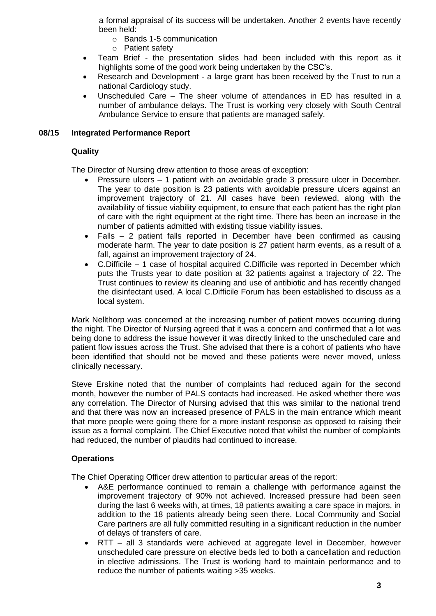a formal appraisal of its success will be undertaken. Another 2 events have recently been held:

- o Bands 1-5 communication
- o Patient safety
- Team Brief the presentation slides had been included with this report as it highlights some of the good work being undertaken by the CSC's.
- Research and Development a large grant has been received by the Trust to run a national Cardiology study.
- Unscheduled Care The sheer volume of attendances in ED has resulted in a number of ambulance delays. The Trust is working very closely with South Central Ambulance Service to ensure that patients are managed safely.

### **08/15 Integrated Performance Report**

### **Quality**

The Director of Nursing drew attention to those areas of exception:

- Pressure ulcers 1 patient with an avoidable grade 3 pressure ulcer in December. The year to date position is 23 patients with avoidable pressure ulcers against an improvement trajectory of 21. All cases have been reviewed, along with the availability of tissue viability equipment, to ensure that each patient has the right plan of care with the right equipment at the right time. There has been an increase in the number of patients admitted with existing tissue viability issues.
- Falls 2 patient falls reported in December have been confirmed as causing moderate harm. The year to date position is 27 patient harm events, as a result of a fall, against an improvement trajectory of 24.
- C.Difficile 1 case of hospital acquired C.Difficile was reported in December which puts the Trusts year to date position at 32 patients against a trajectory of 22. The Trust continues to review its cleaning and use of antibiotic and has recently changed the disinfectant used. A local C.Difficile Forum has been established to discuss as a local system.

Mark Nellthorp was concerned at the increasing number of patient moves occurring during the night. The Director of Nursing agreed that it was a concern and confirmed that a lot was being done to address the issue however it was directly linked to the unscheduled care and patient flow issues across the Trust. She advised that there is a cohort of patients who have been identified that should not be moved and these patients were never moved, unless clinically necessary.

Steve Erskine noted that the number of complaints had reduced again for the second month, however the number of PALS contacts had increased. He asked whether there was any correlation. The Director of Nursing advised that this was similar to the national trend and that there was now an increased presence of PALS in the main entrance which meant that more people were going there for a more instant response as opposed to raising their issue as a formal complaint. The Chief Executive noted that whilst the number of complaints had reduced, the number of plaudits had continued to increase.

### **Operations**

The Chief Operating Officer drew attention to particular areas of the report:

- A&E performance continued to remain a challenge with performance against the improvement trajectory of 90% not achieved. Increased pressure had been seen during the last 6 weeks with, at times, 18 patients awaiting a care space in majors, in addition to the 18 patients already being seen there. Local Community and Social Care partners are all fully committed resulting in a significant reduction in the number of delays of transfers of care.
- RTT all 3 standards were achieved at aggregate level in December, however unscheduled care pressure on elective beds led to both a cancellation and reduction in elective admissions. The Trust is working hard to maintain performance and to reduce the number of patients waiting >35 weeks.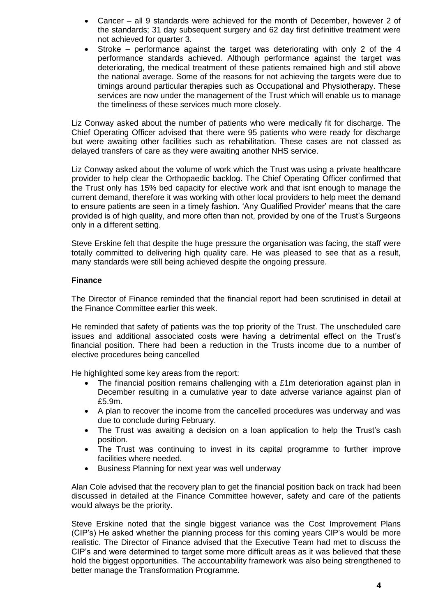- Cancer all 9 standards were achieved for the month of December, however 2 of the standards; 31 day subsequent surgery and 62 day first definitive treatment were not achieved for quarter 3.
- Stroke performance against the target was deteriorating with only 2 of the 4 performance standards achieved. Although performance against the target was deteriorating, the medical treatment of these patients remained high and still above the national average. Some of the reasons for not achieving the targets were due to timings around particular therapies such as Occupational and Physiotherapy. These services are now under the management of the Trust which will enable us to manage the timeliness of these services much more closely.

Liz Conway asked about the number of patients who were medically fit for discharge. The Chief Operating Officer advised that there were 95 patients who were ready for discharge but were awaiting other facilities such as rehabilitation. These cases are not classed as delayed transfers of care as they were awaiting another NHS service.

Liz Conway asked about the volume of work which the Trust was using a private healthcare provider to help clear the Orthopaedic backlog. The Chief Operating Officer confirmed that the Trust only has 15% bed capacity for elective work and that isnt enough to manage the current demand, therefore it was working with other local providers to help meet the demand to ensure patients are seen in a timely fashion. 'Any Qualified Provider' means that the care provided is of high quality, and more often than not, provided by one of the Trust's Surgeons only in a different setting.

Steve Erskine felt that despite the huge pressure the organisation was facing, the staff were totally committed to delivering high quality care. He was pleased to see that as a result, many standards were still being achieved despite the ongoing pressure.

### **Finance**

The Director of Finance reminded that the financial report had been scrutinised in detail at the Finance Committee earlier this week.

He reminded that safety of patients was the top priority of the Trust. The unscheduled care issues and additional associated costs were having a detrimental effect on the Trust's financial position. There had been a reduction in the Trusts income due to a number of elective procedures being cancelled

He highlighted some key areas from the report:

- The financial position remains challenging with a £1m deterioration against plan in December resulting in a cumulative year to date adverse variance against plan of £5.9m.
- A plan to recover the income from the cancelled procedures was underway and was due to conclude during February.
- The Trust was awaiting a decision on a loan application to help the Trust's cash position.
- The Trust was continuing to invest in its capital programme to further improve facilities where needed.
- Business Planning for next year was well underway

Alan Cole advised that the recovery plan to get the financial position back on track had been discussed in detailed at the Finance Committee however, safety and care of the patients would always be the priority.

Steve Erskine noted that the single biggest variance was the Cost Improvement Plans (CIP's) He asked whether the planning process for this coming years CIP's would be more realistic. The Director of Finance advised that the Executive Team had met to discuss the CIP's and were determined to target some more difficult areas as it was believed that these hold the biggest opportunities. The accountability framework was also being strengthened to better manage the Transformation Programme.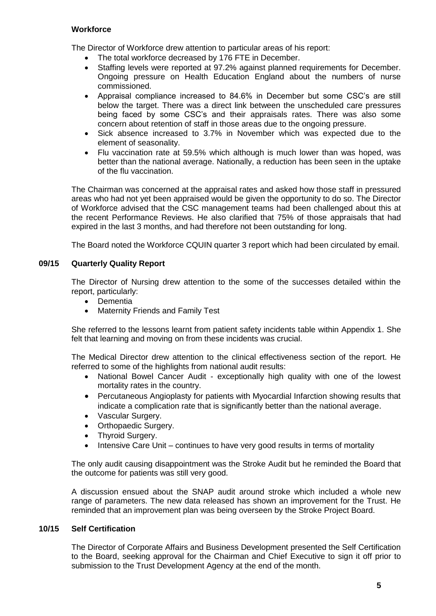### **Workforce**

The Director of Workforce drew attention to particular areas of his report:

- The total workforce decreased by 176 FTE in December.
- Staffing levels were reported at 97.2% against planned requirements for December. Ongoing pressure on Health Education England about the numbers of nurse commissioned.
- Appraisal compliance increased to 84.6% in December but some CSC's are still below the target. There was a direct link between the unscheduled care pressures being faced by some CSC's and their appraisals rates. There was also some concern about retention of staff in those areas due to the ongoing pressure.
- Sick absence increased to 3.7% in November which was expected due to the element of seasonality.
- Flu vaccination rate at 59.5% which although is much lower than was hoped, was better than the national average. Nationally, a reduction has been seen in the uptake of the flu vaccination.

The Chairman was concerned at the appraisal rates and asked how those staff in pressured areas who had not yet been appraised would be given the opportunity to do so. The Director of Workforce advised that the CSC management teams had been challenged about this at the recent Performance Reviews. He also clarified that 75% of those appraisals that had expired in the last 3 months, and had therefore not been outstanding for long.

The Board noted the Workforce CQUIN quarter 3 report which had been circulated by email.

### **09/15 Quarterly Quality Report**

The Director of Nursing drew attention to the some of the successes detailed within the report, particularly:

- Dementia
- Maternity Friends and Family Test

She referred to the lessons learnt from patient safety incidents table within Appendix 1. She felt that learning and moving on from these incidents was crucial.

The Medical Director drew attention to the clinical effectiveness section of the report. He referred to some of the highlights from national audit results:

- National Bowel Cancer Audit exceptionally high quality with one of the lowest mortality rates in the country.
- Percutaneous Angioplasty for patients with Myocardial Infarction showing results that indicate a complication rate that is significantly better than the national average.
- Vascular Surgery.
- Orthopaedic Surgery.
- Thyroid Surgery.
- Intensive Care Unit continues to have very good results in terms of mortality

The only audit causing disappointment was the Stroke Audit but he reminded the Board that the outcome for patients was still very good.

A discussion ensued about the SNAP audit around stroke which included a whole new range of parameters. The new data released has shown an improvement for the Trust. He reminded that an improvement plan was being overseen by the Stroke Project Board.

### **10/15 Self Certification**

The Director of Corporate Affairs and Business Development presented the Self Certification to the Board, seeking approval for the Chairman and Chief Executive to sign it off prior to submission to the Trust Development Agency at the end of the month.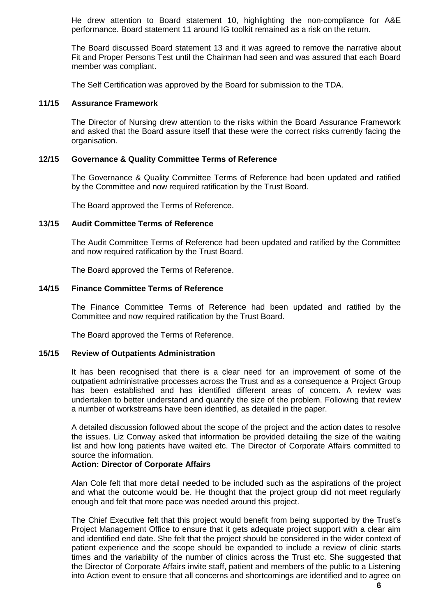He drew attention to Board statement 10, highlighting the non-compliance for A&E performance. Board statement 11 around IG toolkit remained as a risk on the return.

The Board discussed Board statement 13 and it was agreed to remove the narrative about Fit and Proper Persons Test until the Chairman had seen and was assured that each Board member was compliant.

The Self Certification was approved by the Board for submission to the TDA.

### **11/15 Assurance Framework**

The Director of Nursing drew attention to the risks within the Board Assurance Framework and asked that the Board assure itself that these were the correct risks currently facing the organisation.

#### **12/15 Governance & Quality Committee Terms of Reference**

The Governance & Quality Committee Terms of Reference had been updated and ratified by the Committee and now required ratification by the Trust Board.

The Board approved the Terms of Reference.

#### **13/15 Audit Committee Terms of Reference**

The Audit Committee Terms of Reference had been updated and ratified by the Committee and now required ratification by the Trust Board.

The Board approved the Terms of Reference.

### **14/15 Finance Committee Terms of Reference**

The Finance Committee Terms of Reference had been updated and ratified by the Committee and now required ratification by the Trust Board.

The Board approved the Terms of Reference.

#### **15/15 Review of Outpatients Administration**

It has been recognised that there is a clear need for an improvement of some of the outpatient administrative processes across the Trust and as a consequence a Project Group has been established and has identified different areas of concern. A review was undertaken to better understand and quantify the size of the problem. Following that review a number of workstreams have been identified, as detailed in the paper.

A detailed discussion followed about the scope of the project and the action dates to resolve the issues. Liz Conway asked that information be provided detailing the size of the waiting list and how long patients have waited etc. The Director of Corporate Affairs committed to source the information.

### **Action: Director of Corporate Affairs**

Alan Cole felt that more detail needed to be included such as the aspirations of the project and what the outcome would be. He thought that the project group did not meet regularly enough and felt that more pace was needed around this project.

The Chief Executive felt that this project would benefit from being supported by the Trust's Project Management Office to ensure that it gets adequate project support with a clear aim and identified end date. She felt that the project should be considered in the wider context of patient experience and the scope should be expanded to include a review of clinic starts times and the variability of the number of clinics across the Trust etc. She suggested that the Director of Corporate Affairs invite staff, patient and members of the public to a Listening into Action event to ensure that all concerns and shortcomings are identified and to agree on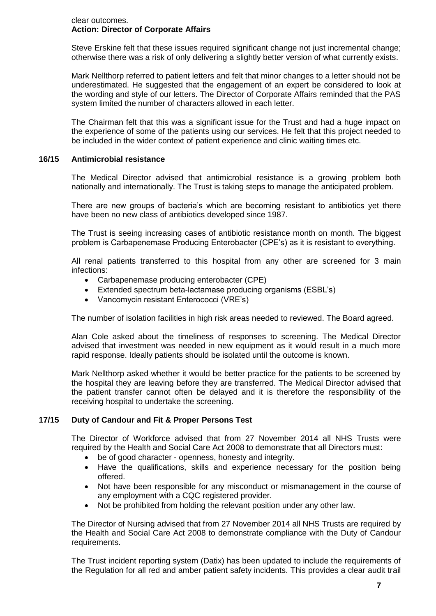### clear outcomes. **Action: Director of Corporate Affairs**

Steve Erskine felt that these issues required significant change not just incremental change; otherwise there was a risk of only delivering a slightly better version of what currently exists.

Mark Nellthorp referred to patient letters and felt that minor changes to a letter should not be underestimated. He suggested that the engagement of an expert be considered to look at the wording and style of our letters. The Director of Corporate Affairs reminded that the PAS system limited the number of characters allowed in each letter.

The Chairman felt that this was a significant issue for the Trust and had a huge impact on the experience of some of the patients using our services. He felt that this project needed to be included in the wider context of patient experience and clinic waiting times etc.

### **16/15 Antimicrobial resistance**

The Medical Director advised that antimicrobial resistance is a growing problem both nationally and internationally. The Trust is taking steps to manage the anticipated problem.

There are new groups of bacteria's which are becoming resistant to antibiotics yet there have been no new class of antibiotics developed since 1987.

The Trust is seeing increasing cases of antibiotic resistance month on month. The biggest problem is Carbapenemase Producing Enterobacter (CPE's) as it is resistant to everything.

All renal patients transferred to this hospital from any other are screened for 3 main infections:

- Carbapenemase producing enterobacter (CPE)
- Extended spectrum beta-lactamase producing organisms (ESBL's)
- Vancomycin resistant Enterococci (VRE's)

The number of isolation facilities in high risk areas needed to reviewed. The Board agreed.

Alan Cole asked about the timeliness of responses to screening. The Medical Director advised that investment was needed in new equipment as it would result in a much more rapid response. Ideally patients should be isolated until the outcome is known.

Mark Nellthorp asked whether it would be better practice for the patients to be screened by the hospital they are leaving before they are transferred. The Medical Director advised that the patient transfer cannot often be delayed and it is therefore the responsibility of the receiving hospital to undertake the screening.

### **17/15 Duty of Candour and Fit & Proper Persons Test**

The Director of Workforce advised that from 27 November 2014 all NHS Trusts were required by the Health and Social Care Act 2008 to demonstrate that all Directors must:

- be of good character openness, honesty and integrity.
- Have the qualifications, skills and experience necessary for the position being offered.
- Not have been responsible for any misconduct or mismanagement in the course of any employment with a CQC registered provider.
- Not be prohibited from holding the relevant position under any other law.

The Director of Nursing advised that from 27 November 2014 all NHS Trusts are required by the Health and Social Care Act 2008 to demonstrate compliance with the Duty of Candour requirements.

The Trust incident reporting system (Datix) has been updated to include the requirements of the Regulation for all red and amber patient safety incidents. This provides a clear audit trail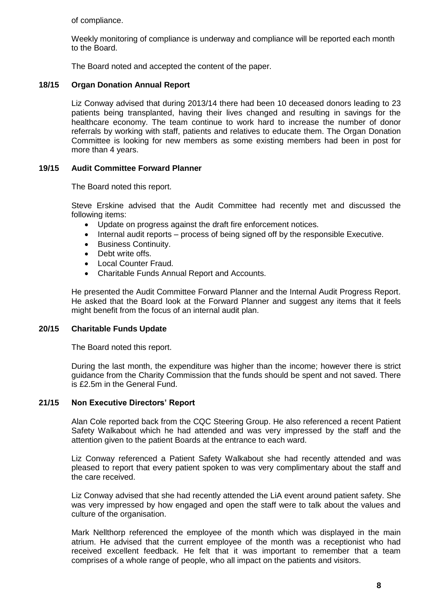of compliance.

Weekly monitoring of compliance is underway and compliance will be reported each month to the Board.

The Board noted and accepted the content of the paper.

## **18/15 Organ Donation Annual Report**

Liz Conway advised that during 2013/14 there had been 10 deceased donors leading to 23 patients being transplanted, having their lives changed and resulting in savings for the healthcare economy. The team continue to work hard to increase the number of donor referrals by working with staff, patients and relatives to educate them. The Organ Donation Committee is looking for new members as some existing members had been in post for more than 4 years.

## **19/15 Audit Committee Forward Planner**

The Board noted this report.

Steve Erskine advised that the Audit Committee had recently met and discussed the following items:

- Update on progress against the draft fire enforcement notices.
- Internal audit reports process of being signed off by the responsible Executive.
- **•** Business Continuity.
- Debt write offs.
- Local Counter Fraud.
- Charitable Funds Annual Report and Accounts.

He presented the Audit Committee Forward Planner and the Internal Audit Progress Report. He asked that the Board look at the Forward Planner and suggest any items that it feels might benefit from the focus of an internal audit plan.

### **20/15 Charitable Funds Update**

The Board noted this report.

During the last month, the expenditure was higher than the income; however there is strict guidance from the Charity Commission that the funds should be spent and not saved. There is £2.5m in the General Fund.

### **21/15 Non Executive Directors' Report**

Alan Cole reported back from the CQC Steering Group. He also referenced a recent Patient Safety Walkabout which he had attended and was very impressed by the staff and the attention given to the patient Boards at the entrance to each ward.

Liz Conway referenced a Patient Safety Walkabout she had recently attended and was pleased to report that every patient spoken to was very complimentary about the staff and the care received.

Liz Conway advised that she had recently attended the LiA event around patient safety. She was very impressed by how engaged and open the staff were to talk about the values and culture of the organisation.

Mark Nellthorp referenced the employee of the month which was displayed in the main atrium. He advised that the current employee of the month was a receptionist who had received excellent feedback. He felt that it was important to remember that a team comprises of a whole range of people, who all impact on the patients and visitors.